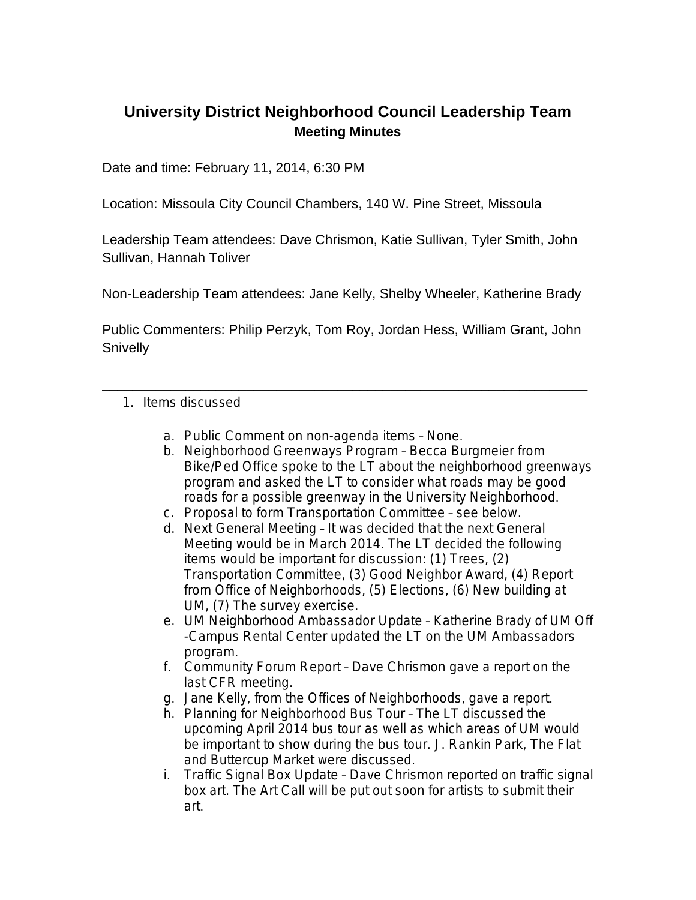## **University District Neighborhood Council Leadership Team Meeting Minutes**

Date and time: February 11, 2014, 6:30 PM

Location: Missoula City Council Chambers, 140 W. Pine Street, Missoula

Leadership Team attendees: Dave Chrismon, Katie Sullivan, Tyler Smith, John Sullivan, Hannah Toliver

Non-Leadership Team attendees: Jane Kelly, Shelby Wheeler, Katherine Brady

Public Commenters: Philip Perzyk, Tom Roy, Jordan Hess, William Grant, John **Snivelly** 

\_\_\_\_\_\_\_\_\_\_\_\_\_\_\_\_\_\_\_\_\_\_\_\_\_\_\_\_\_\_\_\_\_\_\_\_\_\_\_\_\_\_\_\_\_\_\_\_\_\_\_\_\_\_\_\_\_\_\_\_\_\_\_\_

- 1. Items discussed
	- a. Public Comment on non-agenda items None.
	- b. Neighborhood Greenways Program Becca Burgmeier from Bike/Ped Office spoke to the LT about the neighborhood greenways program and asked the LT to consider what roads may be good roads for a possible greenway in the University Neighborhood.
	- c. Proposal to form Transportation Committee see below.
	- d. Next General Meeting It was decided that the next General Meeting would be in March 2014. The LT decided the following items would be important for discussion: (1) Trees, (2) Transportation Committee, (3) Good Neighbor Award, (4) Report from Office of Neighborhoods, (5) Elections, (6) New building at UM, (7) The survey exercise.
	- e. UM Neighborhood Ambassador Update Katherine Brady of UM Off -Campus Rental Center updated the LT on the UM Ambassadors program.
	- f. Community Forum Report Dave Chrismon gave a report on the last CFR meeting.
	- g. Jane Kelly, from the Offices of Neighborhoods, gave a report.
	- h. Planning for Neighborhood Bus Tour The LT discussed the upcoming April 2014 bus tour as well as which areas of UM would be important to show during the bus tour. J. Rankin Park, The Flat and Buttercup Market were discussed.
	- i. Traffic Signal Box Update Dave Chrismon reported on traffic signal box art. The Art Call will be put out soon for artists to submit their art.